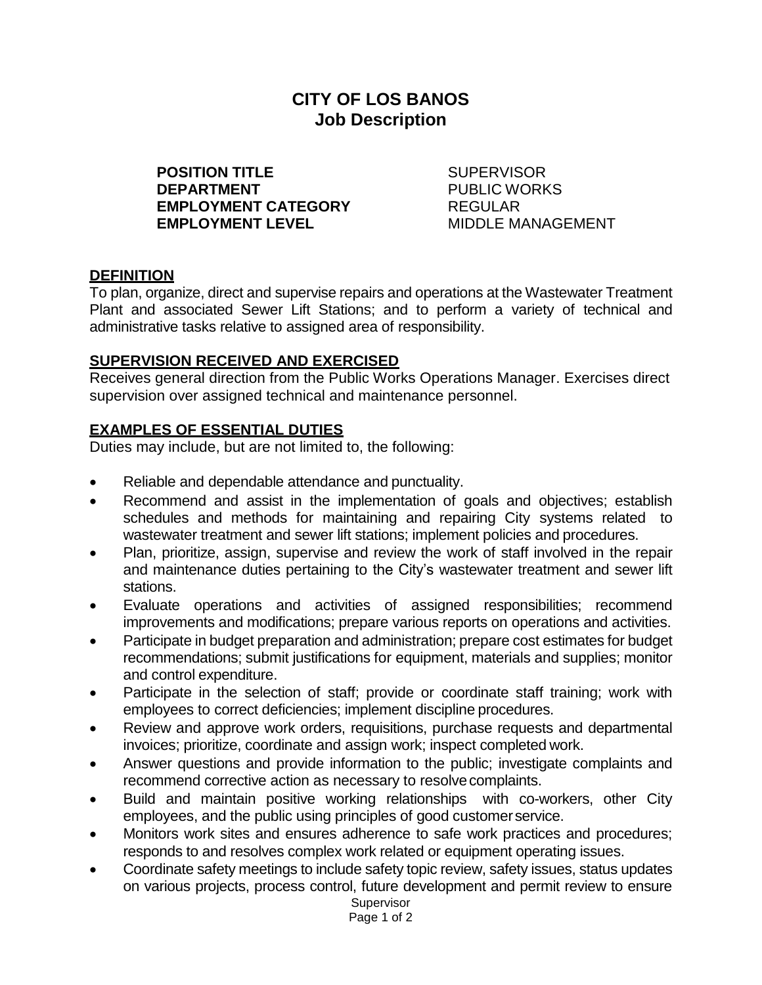# **CITY OF LOS BANOS Job Description**

**POSITION TITLE** SUPERVISOR **DEPARTMENT** PUBLIC WORKS **EMPLOYMENT CATEGORY** REGULAR **EMPLOYMENT LEVEL** MIDDLE MANAGEMENT

#### **DEFINITION**

To plan, organize, direct and supervise repairs and operations at the Wastewater Treatment Plant and associated Sewer Lift Stations; and to perform a variety of technical and administrative tasks relative to assigned area of responsibility.

#### **SUPERVISION RECEIVED AND EXERCISED**

Receives general direction from the Public Works Operations Manager. Exercises direct supervision over assigned technical and maintenance personnel.

#### **EXAMPLES OF ESSENTIAL DUTIES**

Duties may include, but are not limited to, the following:

- Reliable and dependable attendance and punctuality.
- Recommend and assist in the implementation of goals and objectives; establish schedules and methods for maintaining and repairing City systems related to wastewater treatment and sewer lift stations; implement policies and procedures.
- Plan, prioritize, assign, supervise and review the work of staff involved in the repair and maintenance duties pertaining to the City's wastewater treatment and sewer lift stations.
- Evaluate operations and activities of assigned responsibilities; recommend improvements and modifications; prepare various reports on operations and activities.
- Participate in budget preparation and administration; prepare cost estimates for budget recommendations; submit justifications for equipment, materials and supplies; monitor and control expenditure.
- Participate in the selection of staff; provide or coordinate staff training; work with employees to correct deficiencies; implement discipline procedures.
- Review and approve work orders, requisitions, purchase requests and departmental invoices; prioritize, coordinate and assign work; inspect completed work.
- Answer questions and provide information to the public; investigate complaints and recommend corrective action as necessary to resolve complaints.
- Build and maintain positive working relationships with co-workers, other City employees, and the public using principles of good customerservice.
- Monitors work sites and ensures adherence to safe work practices and procedures; responds to and resolves complex work related or equipment operating issues.
- Coordinate safety meetings to include safety topic review, safety issues, status updates on various projects, process control, future development and permit review to ensure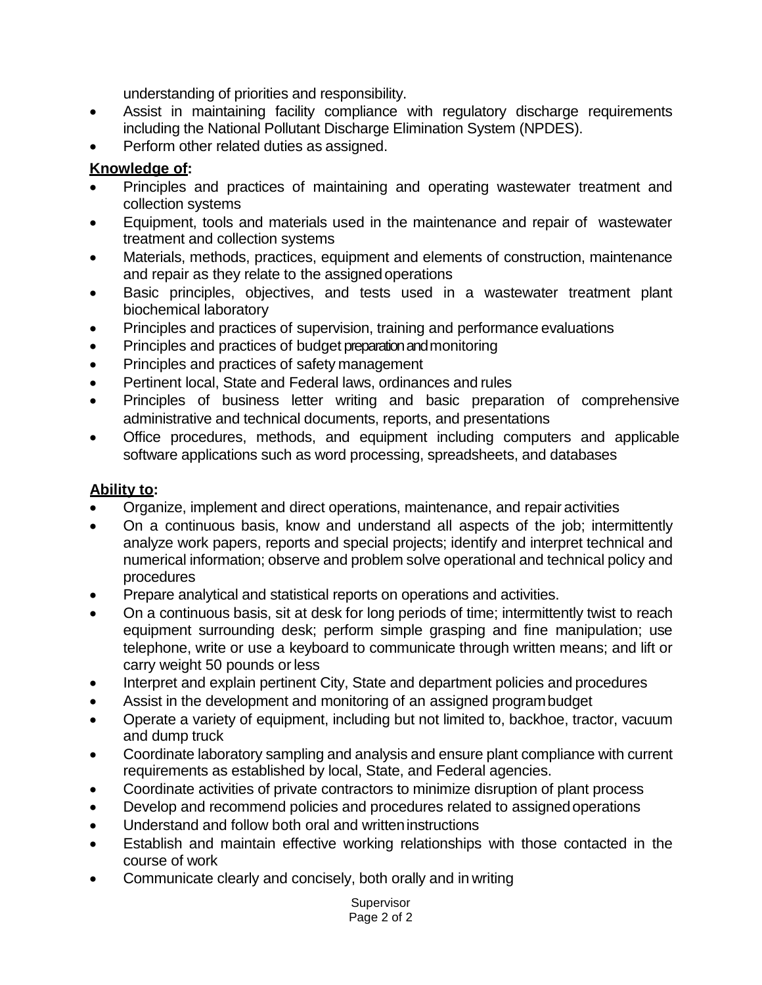understanding of priorities and responsibility.

- Assist in maintaining facility compliance with regulatory discharge requirements including the National Pollutant Discharge Elimination System (NPDES).
- Perform other related duties as assigned.

## **Knowledge of:**

- Principles and practices of maintaining and operating wastewater treatment and collection systems
- Equipment, tools and materials used in the maintenance and repair of wastewater treatment and collection systems
- Materials, methods, practices, equipment and elements of construction, maintenance and repair as they relate to the assignedoperations
- Basic principles, objectives, and tests used in a wastewater treatment plant biochemical laboratory
- Principles and practices of supervision, training and performance evaluations
- Principles and practices of budget preparation and monitoring
- Principles and practices of safety management
- Pertinent local, State and Federal laws, ordinances and rules
- Principles of business letter writing and basic preparation of comprehensive administrative and technical documents, reports, and presentations
- Office procedures, methods, and equipment including computers and applicable software applications such as word processing, spreadsheets, and databases

## **Ability to:**

- Organize, implement and direct operations, maintenance, and repair activities
- On a continuous basis, know and understand all aspects of the job; intermittently analyze work papers, reports and special projects; identify and interpret technical and numerical information; observe and problem solve operational and technical policy and procedures
- Prepare analytical and statistical reports on operations and activities.
- On a continuous basis, sit at desk for long periods of time; intermittently twist to reach equipment surrounding desk; perform simple grasping and fine manipulation; use telephone, write or use a keyboard to communicate through written means; and lift or carry weight 50 pounds or less
- Interpret and explain pertinent City, State and department policies and procedures
- Assist in the development and monitoring of an assigned programbudget
- Operate a variety of equipment, including but not limited to, backhoe, tractor, vacuum and dump truck
- Coordinate laboratory sampling and analysis and ensure plant compliance with current requirements as established by local, State, and Federal agencies.
- Coordinate activities of private contractors to minimize disruption of plant process
- Develop and recommend policies and procedures related to assigned operations
- Understand and follow both oral and writteninstructions
- Establish and maintain effective working relationships with those contacted in the course of work
- Communicate clearly and concisely, both orally and in writing

Supervisor Page 2 of 2